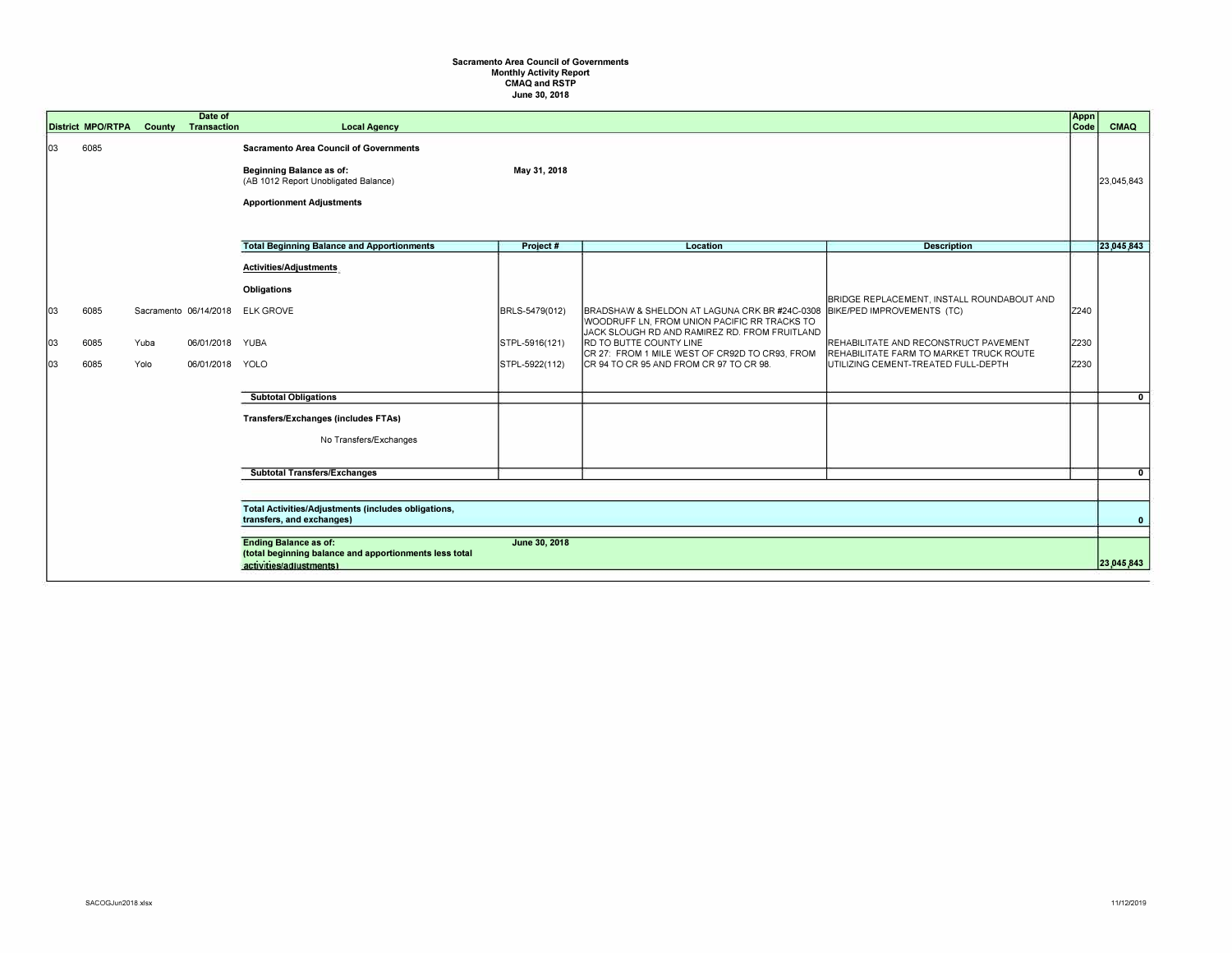## **Sacramento Area Council of Governments Monthly Activity Report CMAQ and RSTP June 30, 2018**

|                 | <b>District MPO/RTPA</b> |                                                                                   | Date of<br><b>County Transaction</b> | <b>Local Agency</b>                                                                                                                                   |                                                    |                                                                                                                                                                                                                                                                        |                                                                                                                                                                                                     | Appn<br>Code         | <b>CMAQ</b>    |
|-----------------|--------------------------|-----------------------------------------------------------------------------------|--------------------------------------|-------------------------------------------------------------------------------------------------------------------------------------------------------|----------------------------------------------------|------------------------------------------------------------------------------------------------------------------------------------------------------------------------------------------------------------------------------------------------------------------------|-----------------------------------------------------------------------------------------------------------------------------------------------------------------------------------------------------|----------------------|----------------|
| 03              | 6085                     |                                                                                   |                                      | <b>Sacramento Area Council of Governments</b><br>Beginning Balance as of:<br>(AB 1012 Report Unobligated Balance)<br><b>Apportionment Adjustments</b> | May 31, 2018                                       |                                                                                                                                                                                                                                                                        |                                                                                                                                                                                                     |                      | 23,045,843     |
|                 |                          |                                                                                   |                                      | <b>Total Beginning Balance and Apportionments</b>                                                                                                     | Project#                                           | Location                                                                                                                                                                                                                                                               | <b>Description</b>                                                                                                                                                                                  |                      | 23,045,843     |
| 03<br> 03<br>03 | 6085<br>6085<br>6085     | Yuba<br>Yolo                                                                      | 06/01/2018 YUBA<br>06/01/2018 YOLO   | Activities/Adjustments<br>Obligations<br>Sacramento 06/14/2018 ELK GROVE<br><b>Subtotal Obligations</b>                                               | BRLS-5479(012)<br>STPL-5916(121)<br>STPL-5922(112) | BRADSHAW & SHELDON AT LAGUNA CRK BR #24C-0308<br>WOODRUFF LN, FROM UNION PACIFIC RR TRACKS TO<br>JACK SLOUGH RD AND RAMIREZ RD. FROM FRUITLAND<br>RD TO BUTTE COUNTY LINE<br>CR 27: FROM 1 MILE WEST OF CR92D TO CR93. FROM<br>CR 94 TO CR 95 AND FROM CR 97 TO CR 98. | BRIDGE REPLACEMENT, INSTALL ROUNDABOUT AND<br>BIKE/PED IMPROVEMENTS (TC)<br>REHABILITATE AND RECONSTRUCT PAVEMENT<br>REHABILITATE FARM TO MARKET TRUCK ROUTE<br>UTILIZING CEMENT-TREATED FULL-DEPTH | Z240<br>Z230<br>Z230 | $\mathbf{0}$   |
|                 |                          |                                                                                   |                                      | Transfers/Exchanges (includes FTAs)<br>No Transfers/Exchanges                                                                                         |                                                    |                                                                                                                                                                                                                                                                        |                                                                                                                                                                                                     |                      |                |
|                 |                          |                                                                                   |                                      | <b>Subtotal Transfers/Exchanges</b>                                                                                                                   |                                                    |                                                                                                                                                                                                                                                                        |                                                                                                                                                                                                     |                      | $\overline{0}$ |
|                 |                          |                                                                                   |                                      |                                                                                                                                                       |                                                    |                                                                                                                                                                                                                                                                        |                                                                                                                                                                                                     |                      |                |
|                 |                          |                                                                                   |                                      | Total Activities/Adjustments (includes obligations,<br>transfers, and exchanges)                                                                      |                                                    |                                                                                                                                                                                                                                                                        |                                                                                                                                                                                                     |                      | $\mathbf{0}$   |
|                 |                          |                                                                                   |                                      | <b>Ending Balance as of:</b>                                                                                                                          | June 30, 2018                                      |                                                                                                                                                                                                                                                                        |                                                                                                                                                                                                     |                      |                |
|                 |                          | (total beginning balance and apportionments less total<br>activities/adiustments) |                                      |                                                                                                                                                       |                                                    |                                                                                                                                                                                                                                                                        |                                                                                                                                                                                                     |                      | 23,045,843     |